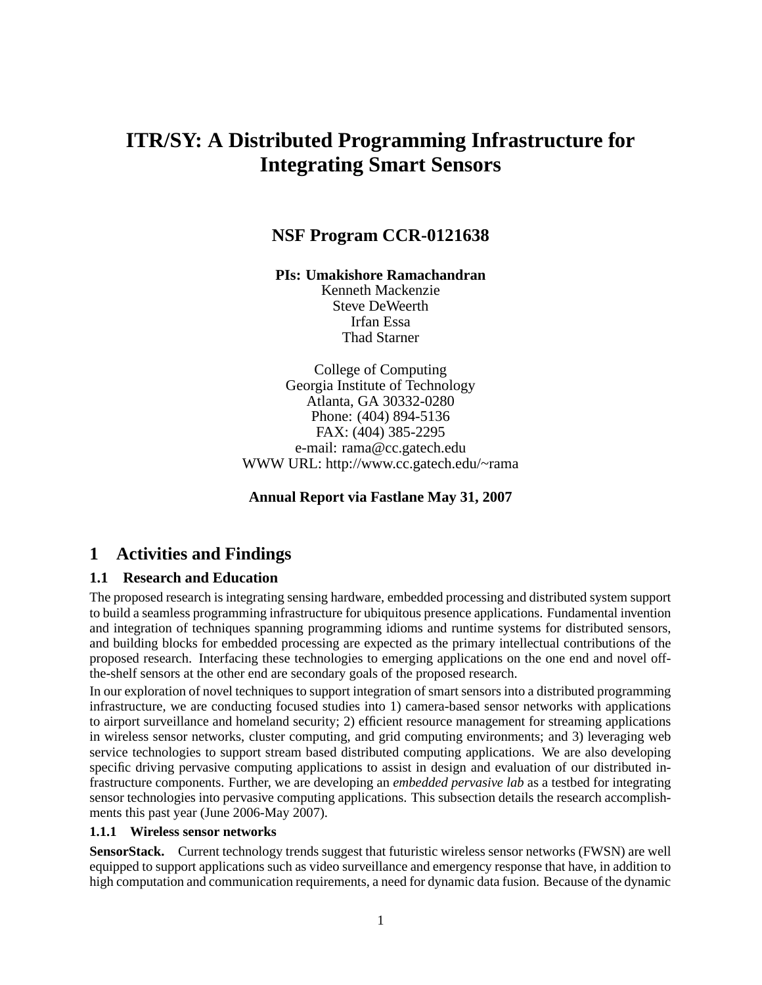# **ITR/SY: A Distributed Programming Infrastructure for Integrating Smart Sensors**

# **NSF Program CCR-0121638**

**PIs: Umakishore Ramachandran**

Kenneth Mackenzie Steve DeWeerth Irfan Essa Thad Starner

College of Computing Georgia Institute of Technology Atlanta, GA 30332-0280 Phone: (404) 894-5136 FAX: (404) 385-2295 e-mail: rama@cc.gatech.edu WWW URL: http://www.cc.gatech.edu/~rama

**Annual Report via Fastlane May 31, 2007**

# **1 Activities and Findings**

### **1.1 Research and Education**

The proposed research is integrating sensing hardware, embedded processing and distributed system support to build a seamless programming infrastructure for ubiquitous presence applications. Fundamental invention and integration of techniques spanning programming idioms and runtime systems for distributed sensors, and building blocks for embedded processing are expected as the primary intellectual contributions of the proposed research. Interfacing these technologies to emerging applications on the one end and novel offthe-shelf sensors at the other end are secondary goals of the proposed research.

In our exploration of novel techniques to support integration of smart sensors into a distributed programming infrastructure, we are conducting focused studies into 1) camera-based sensor networks with applications to airport surveillance and homeland security; 2) efficient resource management for streaming applications in wireless sensor networks, cluster computing, and grid computing environments; and 3) leveraging web service technologies to support stream based distributed computing applications. We are also developing specific driving pervasive computing applications to assist in design and evaluation of our distributed infrastructure components. Further, we are developing an *embedded pervasive lab* as a testbed for integrating sensor technologies into pervasive computing applications. This subsection details the research accomplishments this past year (June 2006-May 2007).

#### **1.1.1 Wireless sensor networks**

**SensorStack.** Current technology trends suggest that futuristic wireless sensor networks (FWSN) are well equipped to support applications such as video surveillance and emergency response that have, in addition to high computation and communication requirements, a need for dynamic data fusion. Because of the dynamic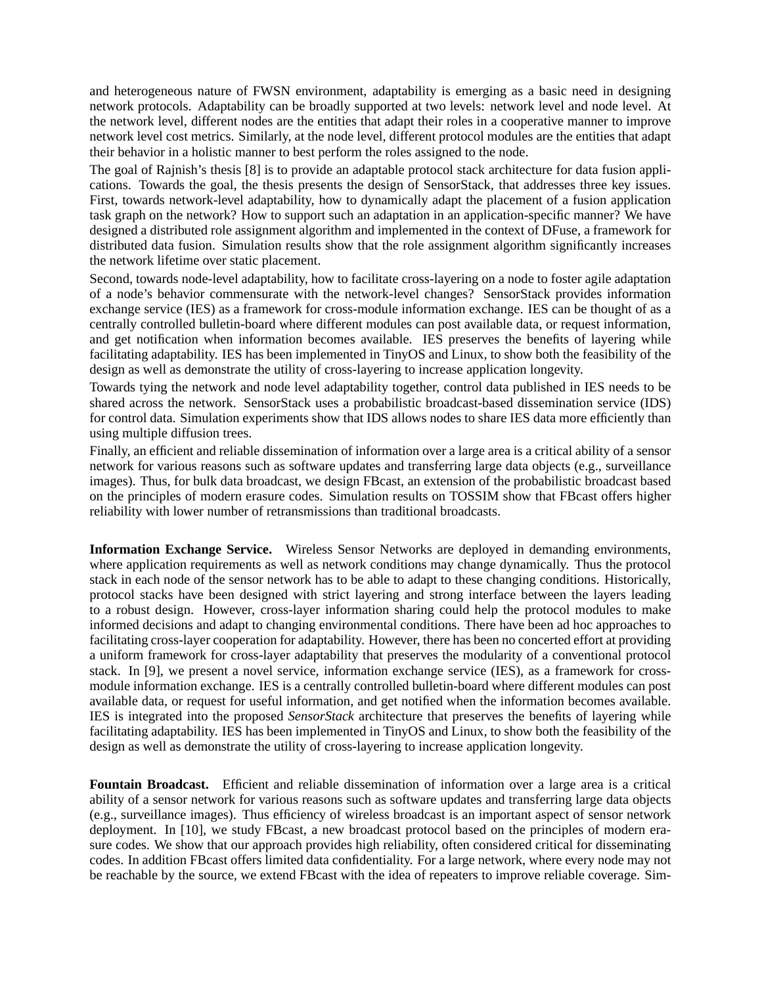and heterogeneous nature of FWSN environment, adaptability is emerging as a basic need in designing network protocols. Adaptability can be broadly supported at two levels: network level and node level. At the network level, different nodes are the entities that adapt their roles in a cooperative manner to improve network level cost metrics. Similarly, at the node level, different protocol modules are the entities that adapt their behavior in a holistic manner to best perform the roles assigned to the node.

The goal of Rajnish's thesis [8] is to provide an adaptable protocol stack architecture for data fusion applications. Towards the goal, the thesis presents the design of SensorStack, that addresses three key issues. First, towards network-level adaptability, how to dynamically adapt the placement of a fusion application task graph on the network? How to support such an adaptation in an application-specific manner? We have designed a distributed role assignment algorithm and implemented in the context of DFuse, a framework for distributed data fusion. Simulation results show that the role assignment algorithm significantly increases the network lifetime over static placement.

Second, towards node-level adaptability, how to facilitate cross-layering on a node to foster agile adaptation of a node's behavior commensurate with the network-level changes? SensorStack provides information exchange service (IES) as a framework for cross-module information exchange. IES can be thought of as a centrally controlled bulletin-board where different modules can post available data, or request information, and get notification when information becomes available. IES preserves the benefits of layering while facilitating adaptability. IES has been implemented in TinyOS and Linux, to show both the feasibility of the design as well as demonstrate the utility of cross-layering to increase application longevity.

Towards tying the network and node level adaptability together, control data published in IES needs to be shared across the network. SensorStack uses a probabilistic broadcast-based dissemination service (IDS) for control data. Simulation experiments show that IDS allows nodes to share IES data more efficiently than using multiple diffusion trees.

Finally, an efficient and reliable dissemination of information over a large area is a critical ability of a sensor network for various reasons such as software updates and transferring large data objects (e.g., surveillance images). Thus, for bulk data broadcast, we design FBcast, an extension of the probabilistic broadcast based on the principles of modern erasure codes. Simulation results on TOSSIM show that FBcast offers higher reliability with lower number of retransmissions than traditional broadcasts.

**Information Exchange Service.** Wireless Sensor Networks are deployed in demanding environments, where application requirements as well as network conditions may change dynamically. Thus the protocol stack in each node of the sensor network has to be able to adapt to these changing conditions. Historically, protocol stacks have been designed with strict layering and strong interface between the layers leading to a robust design. However, cross-layer information sharing could help the protocol modules to make informed decisions and adapt to changing environmental conditions. There have been ad hoc approaches to facilitating cross-layer cooperation for adaptability. However, there has been no concerted effort at providing a uniform framework for cross-layer adaptability that preserves the modularity of a conventional protocol stack. In [9], we present a novel service, information exchange service (IES), as a framework for crossmodule information exchange. IES is a centrally controlled bulletin-board where different modules can post available data, or request for useful information, and get notified when the information becomes available. IES is integrated into the proposed *SensorStack* architecture that preserves the benefits of layering while facilitating adaptability. IES has been implemented in TinyOS and Linux, to show both the feasibility of the design as well as demonstrate the utility of cross-layering to increase application longevity.

**Fountain Broadcast.** Efficient and reliable dissemination of information over a large area is a critical ability of a sensor network for various reasons such as software updates and transferring large data objects (e.g., surveillance images). Thus efficiency of wireless broadcast is an important aspect of sensor network deployment. In [10], we study FBcast, a new broadcast protocol based on the principles of modern erasure codes. We show that our approach provides high reliability, often considered critical for disseminating codes. In addition FBcast offers limited data confidentiality. For a large network, where every node may not be reachable by the source, we extend FBcast with the idea of repeaters to improve reliable coverage. Sim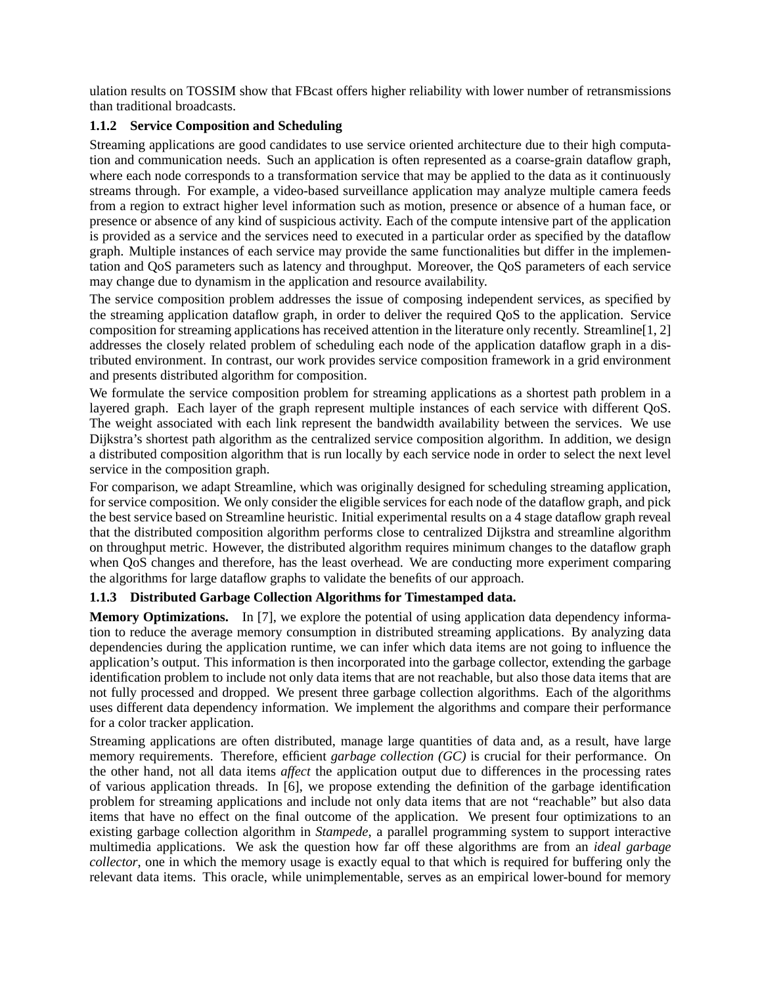ulation results on TOSSIM show that FBcast offers higher reliability with lower number of retransmissions than traditional broadcasts.

### **1.1.2 Service Composition and Scheduling**

Streaming applications are good candidates to use service oriented architecture due to their high computation and communication needs. Such an application is often represented as a coarse-grain dataflow graph, where each node corresponds to a transformation service that may be applied to the data as it continuously streams through. For example, a video-based surveillance application may analyze multiple camera feeds from a region to extract higher level information such as motion, presence or absence of a human face, or presence or absence of any kind of suspicious activity. Each of the compute intensive part of the application is provided as a service and the services need to executed in a particular order as specified by the dataflow graph. Multiple instances of each service may provide the same functionalities but differ in the implementation and QoS parameters such as latency and throughput. Moreover, the QoS parameters of each service may change due to dynamism in the application and resource availability.

The service composition problem addresses the issue of composing independent services, as specified by the streaming application dataflow graph, in order to deliver the required QoS to the application. Service composition for streaming applications has received attention in the literature only recently. Streamline[1, 2] addresses the closely related problem of scheduling each node of the application dataflow graph in a distributed environment. In contrast, our work provides service composition framework in a grid environment and presents distributed algorithm for composition.

We formulate the service composition problem for streaming applications as a shortest path problem in a layered graph. Each layer of the graph represent multiple instances of each service with different QoS. The weight associated with each link represent the bandwidth availability between the services. We use Dijkstra's shortest path algorithm as the centralized service composition algorithm. In addition, we design a distributed composition algorithm that is run locally by each service node in order to select the next level service in the composition graph.

For comparison, we adapt Streamline, which was originally designed for scheduling streaming application, for service composition. We only consider the eligible services for each node of the dataflow graph, and pick the best service based on Streamline heuristic. Initial experimental results on a 4 stage dataflow graph reveal that the distributed composition algorithm performs close to centralized Dijkstra and streamline algorithm on throughput metric. However, the distributed algorithm requires minimum changes to the dataflow graph when QoS changes and therefore, has the least overhead. We are conducting more experiment comparing the algorithms for large dataflow graphs to validate the benefits of our approach.

#### **1.1.3 Distributed Garbage Collection Algorithms for Timestamped data.**

**Memory Optimizations.** In [7], we explore the potential of using application data dependency information to reduce the average memory consumption in distributed streaming applications. By analyzing data dependencies during the application runtime, we can infer which data items are not going to influence the application's output. This information is then incorporated into the garbage collector, extending the garbage identification problem to include not only data items that are not reachable, but also those data items that are not fully processed and dropped. We present three garbage collection algorithms. Each of the algorithms uses different data dependency information. We implement the algorithms and compare their performance for a color tracker application.

Streaming applications are often distributed, manage large quantities of data and, as a result, have large memory requirements. Therefore, efficient *garbage collection (GC)* is crucial for their performance. On the other hand, not all data items *affect* the application output due to differences in the processing rates of various application threads. In [6], we propose extending the definition of the garbage identification problem for streaming applications and include not only data items that are not "reachable" but also data items that have no effect on the final outcome of the application. We present four optimizations to an existing garbage collection algorithm in *Stampede*, a parallel programming system to support interactive multimedia applications. We ask the question how far off these algorithms are from an *ideal garbage collector*, one in which the memory usage is exactly equal to that which is required for buffering only the relevant data items. This oracle, while unimplementable, serves as an empirical lower-bound for memory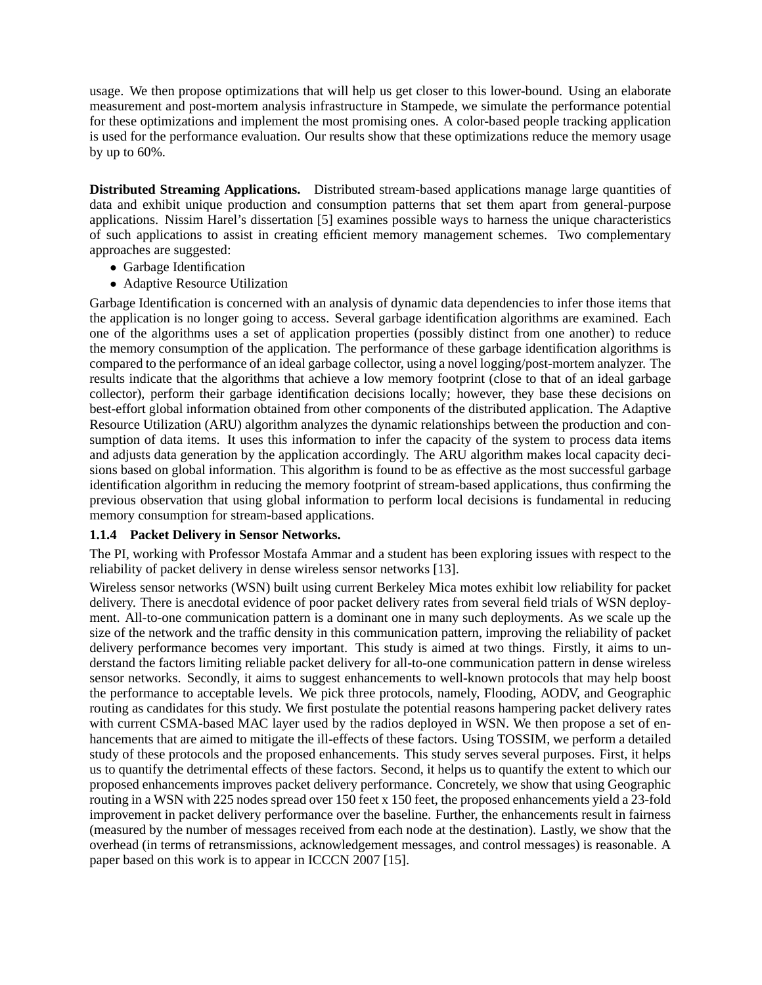usage. We then propose optimizations that will help us get closer to this lower-bound. Using an elaborate measurement and post-mortem analysis infrastructure in Stampede, we simulate the performance potential for these optimizations and implement the most promising ones. A color-based people tracking application is used for the performance evaluation. Our results show that these optimizations reduce the memory usage by up to 60%.

**Distributed Streaming Applications.** Distributed stream-based applications manage large quantities of data and exhibit unique production and consumption patterns that set them apart from general-purpose applications. Nissim Harel's dissertation [5] examines possible ways to harness the unique characteristics of such applications to assist in creating efficient memory management schemes. Two complementary approaches are suggested:

- Garbage Identification
- Adaptive Resource Utilization

Garbage Identification is concerned with an analysis of dynamic data dependencies to infer those items that the application is no longer going to access. Several garbage identification algorithms are examined. Each one of the algorithms uses a set of application properties (possibly distinct from one another) to reduce the memory consumption of the application. The performance of these garbage identification algorithms is compared to the performance of an ideal garbage collector, using a novel logging/post-mortem analyzer. The results indicate that the algorithms that achieve a low memory footprint (close to that of an ideal garbage collector), perform their garbage identification decisions locally; however, they base these decisions on best-effort global information obtained from other components of the distributed application. The Adaptive Resource Utilization (ARU) algorithm analyzes the dynamic relationships between the production and consumption of data items. It uses this information to infer the capacity of the system to process data items and adjusts data generation by the application accordingly. The ARU algorithm makes local capacity decisions based on global information. This algorithm is found to be as effective as the most successful garbage identification algorithm in reducing the memory footprint of stream-based applications, thus confirming the previous observation that using global information to perform local decisions is fundamental in reducing memory consumption for stream-based applications.

#### **1.1.4 Packet Delivery in Sensor Networks.**

The PI, working with Professor Mostafa Ammar and a student has been exploring issues with respect to the reliability of packet delivery in dense wireless sensor networks [13].

Wireless sensor networks (WSN) built using current Berkeley Mica motes exhibit low reliability for packet delivery. There is anecdotal evidence of poor packet delivery rates from several field trials of WSN deployment. All-to-one communication pattern is a dominant one in many such deployments. As we scale up the size of the network and the traffic density in this communication pattern, improving the reliability of packet delivery performance becomes very important. This study is aimed at two things. Firstly, it aims to understand the factors limiting reliable packet delivery for all-to-one communication pattern in dense wireless sensor networks. Secondly, it aims to suggest enhancements to well-known protocols that may help boost the performance to acceptable levels. We pick three protocols, namely, Flooding, AODV, and Geographic routing as candidates for this study. We first postulate the potential reasons hampering packet delivery rates with current CSMA-based MAC layer used by the radios deployed in WSN. We then propose a set of enhancements that are aimed to mitigate the ill-effects of these factors. Using TOSSIM, we perform a detailed study of these protocols and the proposed enhancements. This study serves several purposes. First, it helps us to quantify the detrimental effects of these factors. Second, it helps us to quantify the extent to which our proposed enhancements improves packet delivery performance. Concretely, we show that using Geographic routing in a WSN with 225 nodes spread over 150 feet x 150 feet, the proposed enhancements yield a 23-fold improvement in packet delivery performance over the baseline. Further, the enhancements result in fairness (measured by the number of messages received from each node at the destination). Lastly, we show that the overhead (in terms of retransmissions, acknowledgement messages, and control messages) is reasonable. A paper based on this work is to appear in ICCCN 2007 [15].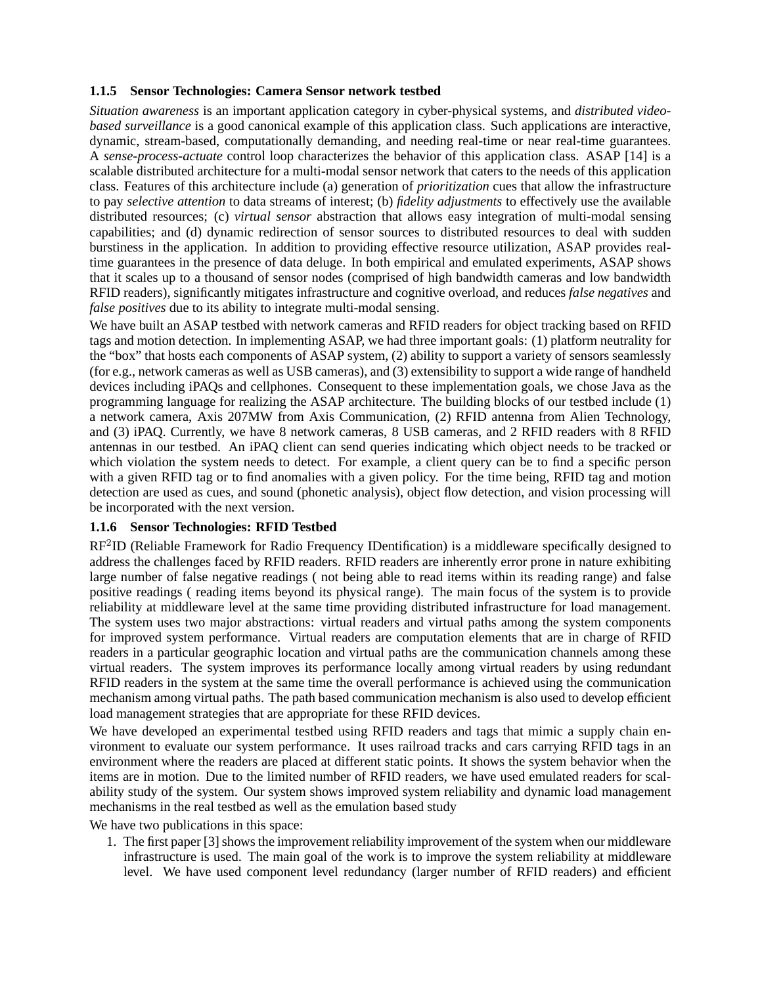#### **1.1.5 Sensor Technologies: Camera Sensor network testbed**

*Situation awareness* is an important application category in cyber-physical systems, and *distributed videobased surveillance* is a good canonical example of this application class. Such applications are interactive, dynamic, stream-based, computationally demanding, and needing real-time or near real-time guarantees. A *sense-process-actuate* control loop characterizes the behavior of this application class. ASAP [14] is a scalable distributed architecture for a multi-modal sensor network that caters to the needs of this application class. Features of this architecture include (a) generation of *prioritization* cues that allow the infrastructure to pay *selective attention* to data streams of interest; (b) *fidelity adjustments* to effectively use the available distributed resources; (c) *virtual sensor* abstraction that allows easy integration of multi-modal sensing capabilities; and (d) dynamic redirection of sensor sources to distributed resources to deal with sudden burstiness in the application. In addition to providing effective resource utilization, ASAP provides realtime guarantees in the presence of data deluge. In both empirical and emulated experiments, ASAP shows that it scales up to a thousand of sensor nodes (comprised of high bandwidth cameras and low bandwidth RFID readers), significantly mitigates infrastructure and cognitive overload, and reduces *false negatives* and *false positives* due to its ability to integrate multi-modal sensing.

We have built an ASAP testbed with network cameras and RFID readers for object tracking based on RFID tags and motion detection. In implementing ASAP, we had three important goals: (1) platform neutrality for the "box" that hosts each components of ASAP system, (2) ability to support a variety of sensors seamlessly (for e.g., network cameras as well as USB cameras), and (3) extensibility to support a wide range of handheld devices including iPAQs and cellphones. Consequent to these implementation goals, we chose Java as the programming language for realizing the ASAP architecture. The building blocks of our testbed include (1) a network camera, Axis 207MW from Axis Communication, (2) RFID antenna from Alien Technology, and (3) iPAQ. Currently, we have 8 network cameras, 8 USB cameras, and 2 RFID readers with 8 RFID antennas in our testbed. An iPAQ client can send queries indicating which object needs to be tracked or which violation the system needs to detect. For example, a client query can be to find a specific person with a given RFID tag or to find anomalies with a given policy. For the time being, RFID tag and motion detection are used as cues, and sound (phonetic analysis), object flow detection, and vision processing will be incorporated with the next version.

### **1.1.6 Sensor Technologies: RFID Testbed**

RF<sup>2</sup>ID (Reliable Framework for Radio Frequency IDentification) is a middleware specifically designed to address the challenges faced by RFID readers. RFID readers are inherently error prone in nature exhibiting large number of false negative readings ( not being able to read items within its reading range) and false positive readings ( reading items beyond its physical range). The main focus of the system is to provide reliability at middleware level at the same time providing distributed infrastructure for load management. The system uses two major abstractions: virtual readers and virtual paths among the system components for improved system performance. Virtual readers are computation elements that are in charge of RFID readers in a particular geographic location and virtual paths are the communication channels among these virtual readers. The system improves its performance locally among virtual readers by using redundant RFID readers in the system at the same time the overall performance is achieved using the communication mechanism among virtual paths. The path based communication mechanism is also used to develop efficient load management strategies that are appropriate for these RFID devices.

We have developed an experimental testbed using RFID readers and tags that mimic a supply chain environment to evaluate our system performance. It uses railroad tracks and cars carrying RFID tags in an environment where the readers are placed at different static points. It shows the system behavior when the items are in motion. Due to the limited number of RFID readers, we have used emulated readers for scalability study of the system. Our system shows improved system reliability and dynamic load management mechanisms in the real testbed as well as the emulation based study

We have two publications in this space:

1. The first paper [3] shows the improvement reliability improvement of the system when our middleware infrastructure is used. The main goal of the work is to improve the system reliability at middleware level. We have used component level redundancy (larger number of RFID readers) and efficient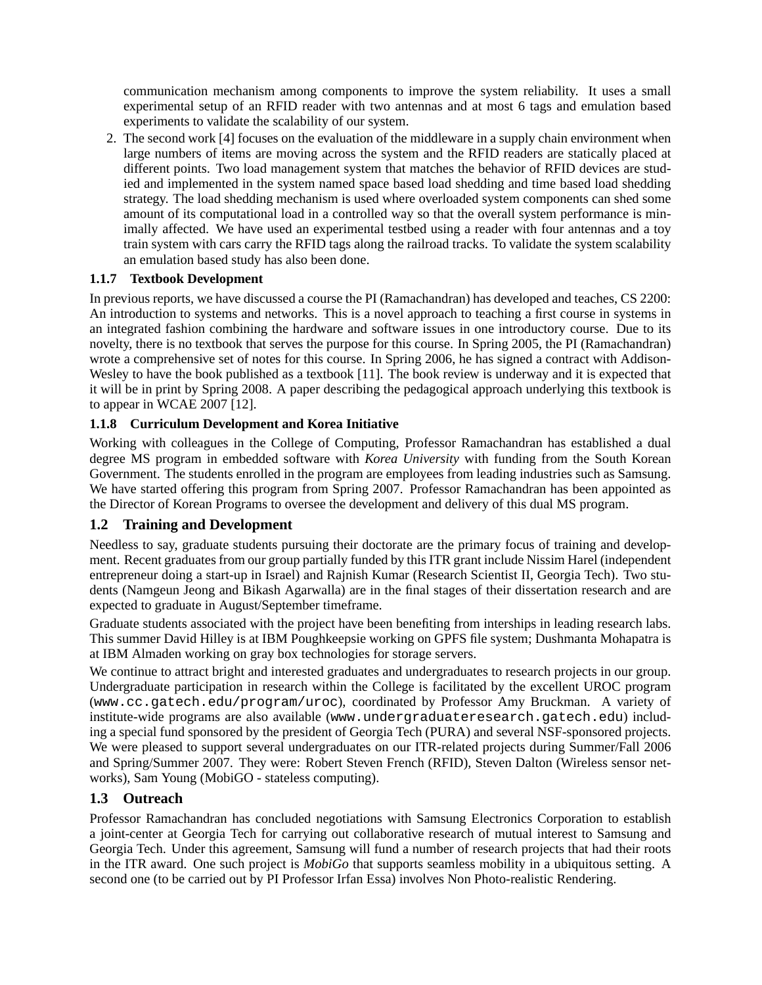communication mechanism among components to improve the system reliability. It uses a small experimental setup of an RFID reader with two antennas and at most 6 tags and emulation based experiments to validate the scalability of our system.

2. The second work [4] focuses on the evaluation of the middleware in a supply chain environment when large numbers of items are moving across the system and the RFID readers are statically placed at different points. Two load management system that matches the behavior of RFID devices are studied and implemented in the system named space based load shedding and time based load shedding strategy. The load shedding mechanism is used where overloaded system components can shed some amount of its computational load in a controlled way so that the overall system performance is minimally affected. We have used an experimental testbed using a reader with four antennas and a toy train system with cars carry the RFID tags along the railroad tracks. To validate the system scalability an emulation based study has also been done.

### **1.1.7 Textbook Development**

In previous reports, we have discussed a course the PI (Ramachandran) has developed and teaches, CS 2200: An introduction to systems and networks. This is a novel approach to teaching a first course in systems in an integrated fashion combining the hardware and software issues in one introductory course. Due to its novelty, there is no textbook that serves the purpose for this course. In Spring 2005, the PI (Ramachandran) wrote a comprehensive set of notes for this course. In Spring 2006, he has signed a contract with Addison-Wesley to have the book published as a textbook [11]. The book review is underway and it is expected that it will be in print by Spring 2008. A paper describing the pedagogical approach underlying this textbook is to appear in WCAE 2007 [12].

### **1.1.8 Curriculum Development and Korea Initiative**

Working with colleagues in the College of Computing, Professor Ramachandran has established a dual degree MS program in embedded software with *Korea University* with funding from the South Korean Government. The students enrolled in the program are employees from leading industries such as Samsung. We have started offering this program from Spring 2007. Professor Ramachandran has been appointed as the Director of Korean Programs to oversee the development and delivery of this dual MS program.

### **1.2 Training and Development**

Needless to say, graduate students pursuing their doctorate are the primary focus of training and development. Recent graduates from our group partially funded by this ITR grant include Nissim Harel (independent entrepreneur doing a start-up in Israel) and Rajnish Kumar (Research Scientist II, Georgia Tech). Two students (Namgeun Jeong and Bikash Agarwalla) are in the final stages of their dissertation research and are expected to graduate in August/September timeframe.

Graduate students associated with the project have been benefiting from interships in leading research labs. This summer David Hilley is at IBM Poughkeepsie working on GPFS file system; Dushmanta Mohapatra is at IBM Almaden working on gray box technologies for storage servers.

We continue to attract bright and interested graduates and undergraduates to research projects in our group. Undergraduate participation in research within the College is facilitated by the excellent UROC program (www.cc.gatech.edu/program/uroc), coordinated by Professor Amy Bruckman. A variety of institute-wide programs are also available (www.undergraduateresearch.gatech.edu) including a special fund sponsored by the president of Georgia Tech (PURA) and several NSF-sponsored projects. We were pleased to support several undergraduates on our ITR-related projects during Summer/Fall 2006 and Spring/Summer 2007. They were: Robert Steven French (RFID), Steven Dalton (Wireless sensor networks), Sam Young (MobiGO - stateless computing).

### **1.3 Outreach**

Professor Ramachandran has concluded negotiations with Samsung Electronics Corporation to establish a joint-center at Georgia Tech for carrying out collaborative research of mutual interest to Samsung and Georgia Tech. Under this agreement, Samsung will fund a number of research projects that had their roots in the ITR award. One such project is *MobiGo* that supports seamless mobility in a ubiquitous setting. A second one (to be carried out by PI Professor Irfan Essa) involves Non Photo-realistic Rendering.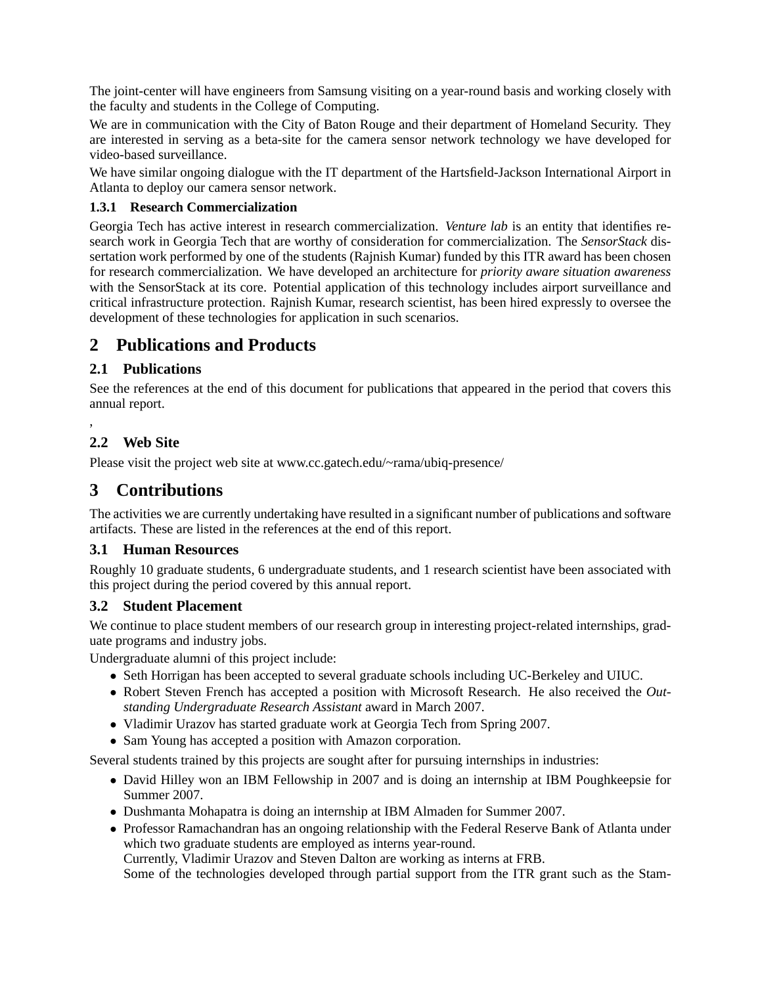The joint-center will have engineers from Samsung visiting on a year-round basis and working closely with the faculty and students in the College of Computing.

We are in communication with the City of Baton Rouge and their department of Homeland Security. They are interested in serving as a beta-site for the camera sensor network technology we have developed for video-based surveillance.

We have similar ongoing dialogue with the IT department of the Hartsfield-Jackson International Airport in Atlanta to deploy our camera sensor network.

#### **1.3.1 Research Commercialization**

Georgia Tech has active interest in research commercialization. *Venture lab* is an entity that identifies research work in Georgia Tech that are worthy of consideration for commercialization. The *SensorStack* dissertation work performed by one of the students (Rajnish Kumar) funded by this ITR award has been chosen for research commercialization. We have developed an architecture for *priority aware situation awareness* with the SensorStack at its core. Potential application of this technology includes airport surveillance and critical infrastructure protection. Rajnish Kumar, research scientist, has been hired expressly to oversee the development of these technologies for application in such scenarios.

# **2 Publications and Products**

### **2.1 Publications**

See the references at the end of this document for publications that appeared in the period that covers this annual report.

# **2.2 Web Site**

,

Please visit the project web site at www.cc.gatech.edu/~rama/ubiq-presence/

## **3 Contributions**

The activities we are currently undertaking have resulted in a significant number of publications and software artifacts. These are listed in the references at the end of this report.

### **3.1 Human Resources**

Roughly 10 graduate students, 6 undergraduate students, and 1 research scientist have been associated with this project during the period covered by this annual report.

### **3.2 Student Placement**

We continue to place student members of our research group in interesting project-related internships, graduate programs and industry jobs.

Undergraduate alumni of this project include:

- Seth Horrigan has been accepted to several graduate schools including UC-Berkeley and UIUC.
- Robert Steven French has accepted a position with Microsoft Research. He also received the *Outstanding Undergraduate Research Assistant* award in March 2007.
- Vladimir Urazov has started graduate work at Georgia Tech from Spring 2007.
- Sam Young has accepted a position with Amazon corporation.

Several students trained by this projects are sought after for pursuing internships in industries:

- David Hilley won an IBM Fellowship in 2007 and is doing an internship at IBM Poughkeepsie for Summer 2007.
- Dushmanta Mohapatra is doing an internship at IBM Almaden for Summer 2007.
- Professor Ramachandran has an ongoing relationship with the Federal Reserve Bank of Atlanta under which two graduate students are employed as interns year-round. Currently, Vladimir Urazov and Steven Dalton are working as interns at FRB. Some of the technologies developed through partial support from the ITR grant such as the Stam-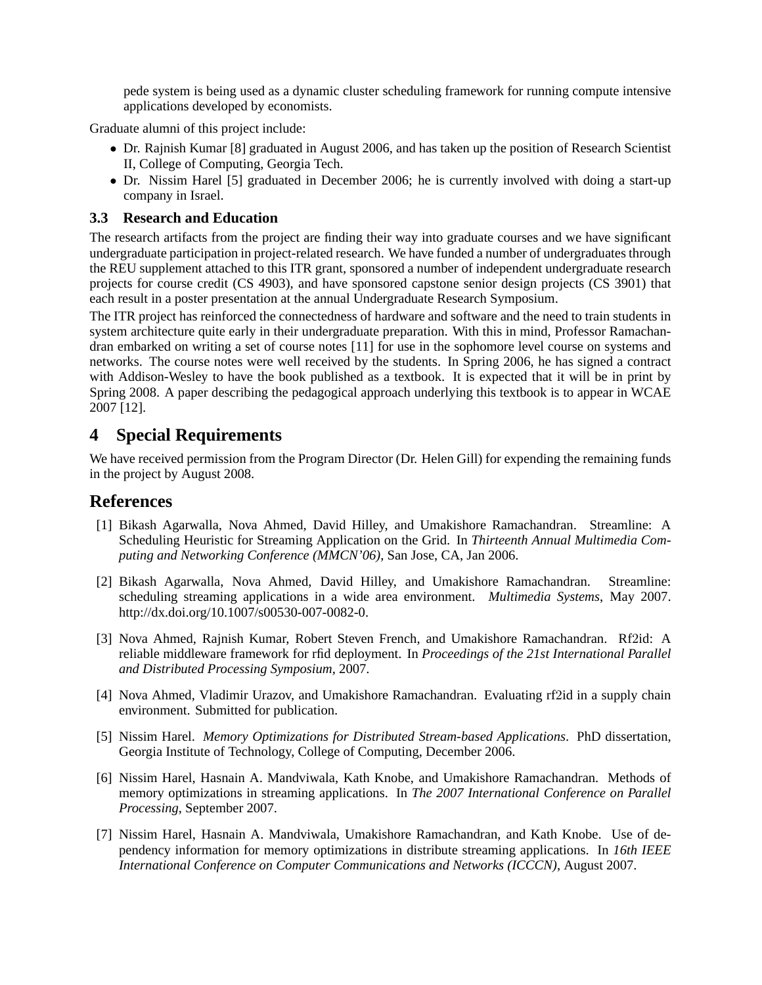pede system is being used as a dynamic cluster scheduling framework for running compute intensive applications developed by economists.

Graduate alumni of this project include:

- Dr. Rajnish Kumar [8] graduated in August 2006, and has taken up the position of Research Scientist II, College of Computing, Georgia Tech.
- Dr. Nissim Harel [5] graduated in December 2006; he is currently involved with doing a start-up company in Israel.

#### **3.3 Research and Education**

The research artifacts from the project are finding their way into graduate courses and we have significant undergraduate participation in project-related research. We have funded a number of undergraduates through the REU supplement attached to this ITR grant, sponsored a number of independent undergraduate research projects for course credit (CS 4903), and have sponsored capstone senior design projects (CS 3901) that each result in a poster presentation at the annual Undergraduate Research Symposium.

The ITR project has reinforced the connectedness of hardware and software and the need to train students in system architecture quite early in their undergraduate preparation. With this in mind, Professor Ramachandran embarked on writing a set of course notes [11] for use in the sophomore level course on systems and networks. The course notes were well received by the students. In Spring 2006, he has signed a contract with Addison-Wesley to have the book published as a textbook. It is expected that it will be in print by Spring 2008. A paper describing the pedagogical approach underlying this textbook is to appear in WCAE 2007 [12].

### **4 Special Requirements**

We have received permission from the Program Director (Dr. Helen Gill) for expending the remaining funds in the project by August 2008.

### **References**

- [1] Bikash Agarwalla, Nova Ahmed, David Hilley, and Umakishore Ramachandran. Streamline: A Scheduling Heuristic for Streaming Application on the Grid. In *Thirteenth Annual Multimedia Computing and Networking Conference (MMCN'06)*, San Jose, CA, Jan 2006.
- [2] Bikash Agarwalla, Nova Ahmed, David Hilley, and Umakishore Ramachandran. Streamline: scheduling streaming applications in a wide area environment. *Multimedia Systems*, May 2007. http://dx.doi.org/10.1007/s00530-007-0082-0.
- [3] Nova Ahmed, Rajnish Kumar, Robert Steven French, and Umakishore Ramachandran. Rf2id: A reliable middleware framework for rfid deployment. In *Proceedings of the 21st International Parallel and Distributed Processing Symposium*, 2007.
- [4] Nova Ahmed, Vladimir Urazov, and Umakishore Ramachandran. Evaluating rf2id in a supply chain environment. Submitted for publication.
- [5] Nissim Harel. *Memory Optimizations for Distributed Stream-based Applications*. PhD dissertation, Georgia Institute of Technology, College of Computing, December 2006.
- [6] Nissim Harel, Hasnain A. Mandviwala, Kath Knobe, and Umakishore Ramachandran. Methods of memory optimizations in streaming applications. In *The 2007 International Conference on Parallel Processing*, September 2007.
- [7] Nissim Harel, Hasnain A. Mandviwala, Umakishore Ramachandran, and Kath Knobe. Use of dependency information for memory optimizations in distribute streaming applications. In *16th IEEE International Conference on Computer Communications and Networks (ICCCN)*, August 2007.